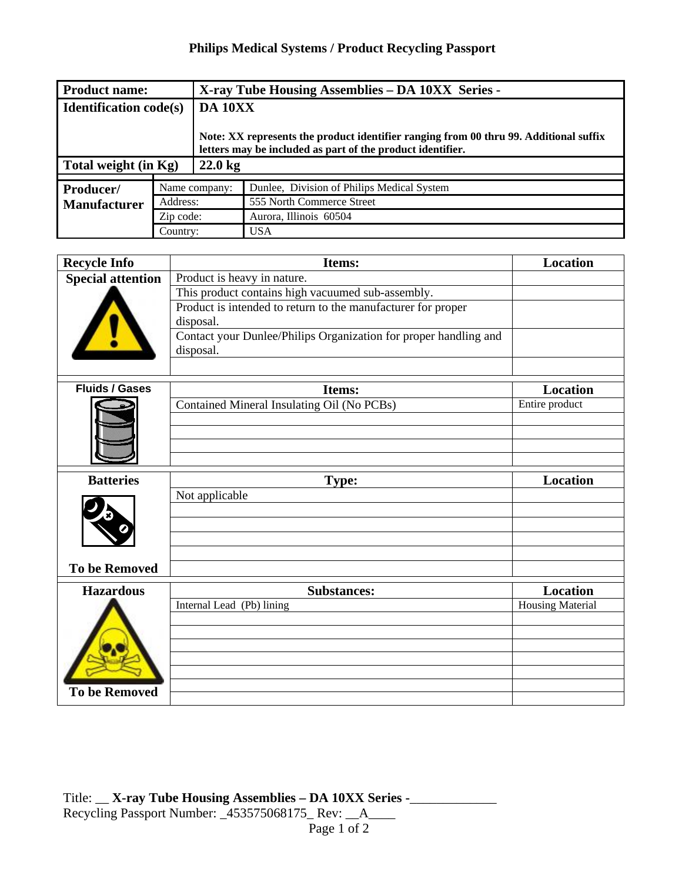## **Philips Medical Systems / Product Recycling Passport**

| <b>Product name:</b>          |               | X-ray Tube Housing Assemblies - DA 10XX Series -                                                                                                    |                                            |  |
|-------------------------------|---------------|-----------------------------------------------------------------------------------------------------------------------------------------------------|--------------------------------------------|--|
| <b>Identification code(s)</b> |               | DA 10XX                                                                                                                                             |                                            |  |
|                               |               | Note: XX represents the product identifier ranging from 00 thru 99. Additional suffix<br>letters may be included as part of the product identifier. |                                            |  |
| Total weight (in Kg)          |               | $22.0 \text{ kg}$                                                                                                                                   |                                            |  |
|                               |               |                                                                                                                                                     |                                            |  |
| Producer/                     | Name company: |                                                                                                                                                     | Dunlee, Division of Philips Medical System |  |
| <b>Manufacturer</b>           | Address:      |                                                                                                                                                     | 555 North Commerce Street                  |  |
|                               | Zip code:     |                                                                                                                                                     | Aurora, Illinois 60504                     |  |
|                               | Country:      |                                                                                                                                                     | <b>USA</b>                                 |  |

| <b>Recycle Info</b>      | <b>Items:</b>                                                                 | Location |
|--------------------------|-------------------------------------------------------------------------------|----------|
| <b>Special attention</b> | Product is heavy in nature.                                                   |          |
|                          | This product contains high vacuumed sub-assembly.                             |          |
|                          | Product is intended to return to the manufacturer for proper<br>disposal.     |          |
|                          | Contact your Dunlee/Philips Organization for proper handling and<br>disposal. |          |
|                          |                                                                               |          |

| <b>Fluids / Gases</b> |                                                      |                                   |
|-----------------------|------------------------------------------------------|-----------------------------------|
|                       | Items:<br>Contained Mineral Insulating Oil (No PCBs) | <b>Location</b><br>Entire product |
|                       |                                                      |                                   |
|                       |                                                      |                                   |
|                       |                                                      |                                   |
| <b>Batteries</b>      | Type:                                                | <b>Location</b>                   |
|                       | Not applicable                                       |                                   |
|                       |                                                      |                                   |
|                       |                                                      |                                   |
|                       |                                                      |                                   |
|                       |                                                      |                                   |
| <b>To be Removed</b>  |                                                      |                                   |
| <b>Hazardous</b>      | <b>Substances:</b>                                   | <b>Location</b>                   |
|                       | Internal Lead (Pb) lining                            | <b>Housing Material</b>           |
|                       |                                                      |                                   |
|                       |                                                      |                                   |
|                       |                                                      |                                   |
|                       |                                                      |                                   |
| <b>To be Removed</b>  |                                                      |                                   |
|                       |                                                      |                                   |